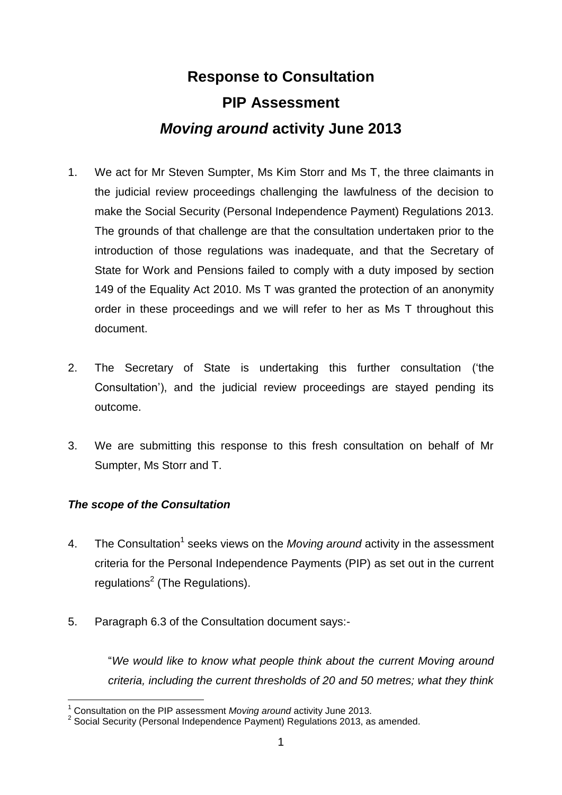# **Response to Consultation PIP Assessment** *Moving around* **activity June 2013**

- 1. We act for Mr Steven Sumpter, Ms Kim Storr and Ms T, the three claimants in the judicial review proceedings challenging the lawfulness of the decision to make the Social Security (Personal Independence Payment) Regulations 2013. The grounds of that challenge are that the consultation undertaken prior to the introduction of those regulations was inadequate, and that the Secretary of State for Work and Pensions failed to comply with a duty imposed by section 149 of the Equality Act 2010. Ms T was granted the protection of an anonymity order in these proceedings and we will refer to her as Ms T throughout this document.
- 2. The Secretary of State is undertaking this further consultation ('the Consultation'), and the judicial review proceedings are stayed pending its outcome.
- 3. We are submitting this response to this fresh consultation on behalf of Mr Sumpter, Ms Storr and T.

### *The scope of the Consultation*

1

- 4. The Consultation<sup>1</sup> seeks views on the *Moving around* activity in the assessment criteria for the Personal Independence Payments (PIP) as set out in the current regulations<sup>2</sup> (The Regulations).
- 5. Paragraph 6.3 of the Consultation document says:-

"*We would like to know what people think about the current Moving around criteria, including the current thresholds of 20 and 50 metres; what they think* 

<sup>&</sup>lt;sup>1</sup> Consultation on the PIP assessment *Moving around* activity June 2013.<br><sup>2</sup> Social Security (Personal Independence Payment) Regulations 2013, as amended.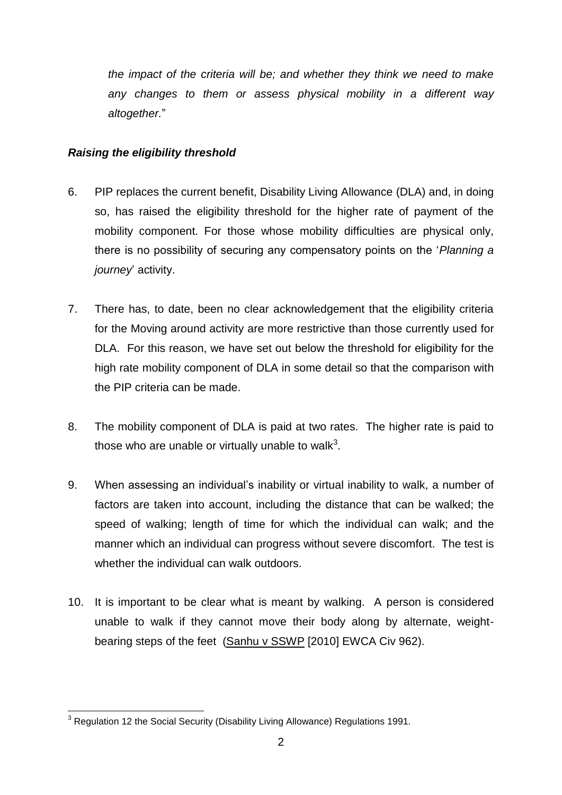*the impact of the criteria will be; and whether they think we need to make any changes to them or assess physical mobility in a different way altogether.*"

#### *Raising the eligibility threshold*

- 6. PIP replaces the current benefit, Disability Living Allowance (DLA) and, in doing so, has raised the eligibility threshold for the higher rate of payment of the mobility component. For those whose mobility difficulties are physical only, there is no possibility of securing any compensatory points on the '*Planning a journey*' activity.
- 7. There has, to date, been no clear acknowledgement that the eligibility criteria for the Moving around activity are more restrictive than those currently used for DLA. For this reason, we have set out below the threshold for eligibility for the high rate mobility component of DLA in some detail so that the comparison with the PIP criteria can be made.
- 8. The mobility component of DLA is paid at two rates. The higher rate is paid to those who are unable or virtually unable to walk<sup>3</sup>.
- 9. When assessing an individual's inability or virtual inability to walk, a number of factors are taken into account, including the distance that can be walked; the speed of walking; length of time for which the individual can walk; and the manner which an individual can progress without severe discomfort. The test is whether the individual can walk outdoors.
- 10. It is important to be clear what is meant by walking. A person is considered unable to walk if they cannot move their body along by alternate, weightbearing steps of the feet (Sanhu v SSWP [2010] EWCA Civ 962).

<sup>1</sup>  $3$  Regulation 12 the Social Security (Disability Living Allowance) Regulations 1991.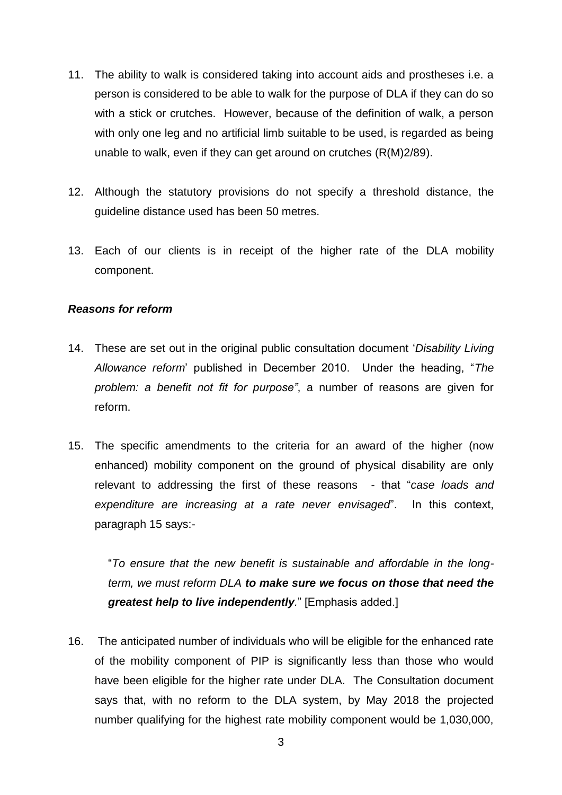- 11. The ability to walk is considered taking into account aids and prostheses i.e. a person is considered to be able to walk for the purpose of DLA if they can do so with a stick or crutches. However, because of the definition of walk, a person with only one leg and no artificial limb suitable to be used, is regarded as being unable to walk, even if they can get around on crutches (R(M)2/89).
- 12. Although the statutory provisions do not specify a threshold distance, the guideline distance used has been 50 metres.
- 13. Each of our clients is in receipt of the higher rate of the DLA mobility component.

#### *Reasons for reform*

- 14. These are set out in the original public consultation document '*Disability Living Allowance reform*' published in December 2010. Under the heading, "*The problem: a benefit not fit for purpose"*, a number of reasons are given for reform.
- 15. The specific amendments to the criteria for an award of the higher (now enhanced) mobility component on the ground of physical disability are only relevant to addressing the first of these reasons - that "*case loads and expenditure are increasing at a rate never envisaged*". In this context, paragraph 15 says:-

"*To ensure that the new benefit is sustainable and affordable in the longterm, we must reform DLA to make sure we focus on those that need the greatest help to live independently.*" [Emphasis added.]

16. The anticipated number of individuals who will be eligible for the enhanced rate of the mobility component of PIP is significantly less than those who would have been eligible for the higher rate under DLA. The Consultation document says that, with no reform to the DLA system, by May 2018 the projected number qualifying for the highest rate mobility component would be 1,030,000,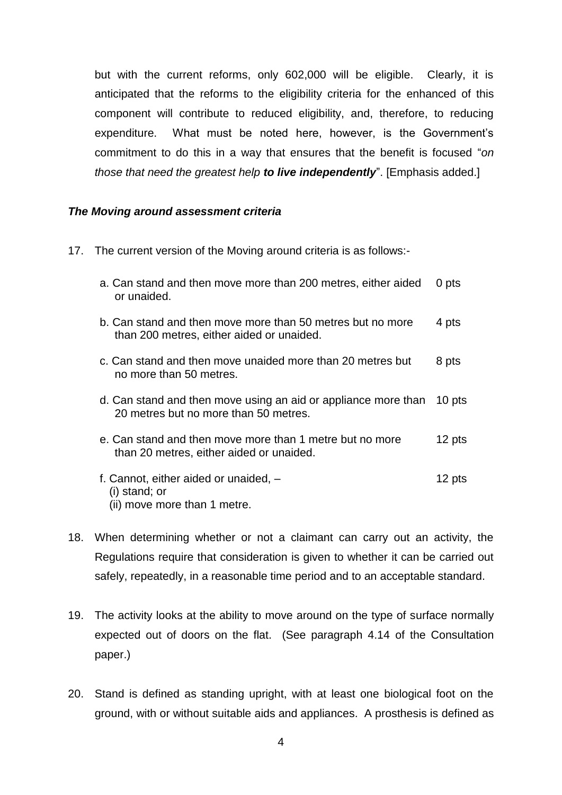but with the current reforms, only 602,000 will be eligible. Clearly, it is anticipated that the reforms to the eligibility criteria for the enhanced of this component will contribute to reduced eligibility, and, therefore, to reducing expenditure. What must be noted here, however, is the Government's commitment to do this in a way that ensures that the benefit is focused "*on those that need the greatest help to live independently*". [Emphasis added.]

#### *The Moving around assessment criteria*

17. The current version of the Moving around criteria is as follows:-

| a. Can stand and then move more than 200 metres, either aided<br>or unaided.                            | 0 pts  |
|---------------------------------------------------------------------------------------------------------|--------|
| b. Can stand and then move more than 50 metres but no more<br>than 200 metres, either aided or unaided. | 4 pts  |
| c. Can stand and then move unaided more than 20 metres but<br>no more than 50 metres.                   | 8 pts  |
| d. Can stand and then move using an aid or appliance more than<br>20 metres but no more than 50 metres. | 10 pts |
| e. Can stand and then move more than 1 metre but no more<br>than 20 metres, either aided or unaided.    | 12 pts |
| f. Cannot, either aided or unaided, -<br>(i) stand; or<br>(ii) move more than 1 metre.                  | 12 pts |

- 18. When determining whether or not a claimant can carry out an activity, the Regulations require that consideration is given to whether it can be carried out safely, repeatedly, in a reasonable time period and to an acceptable standard.
- 19. The activity looks at the ability to move around on the type of surface normally expected out of doors on the flat. (See paragraph 4.14 of the Consultation paper.)
- 20. Stand is defined as standing upright, with at least one biological foot on the ground, with or without suitable aids and appliances. A prosthesis is defined as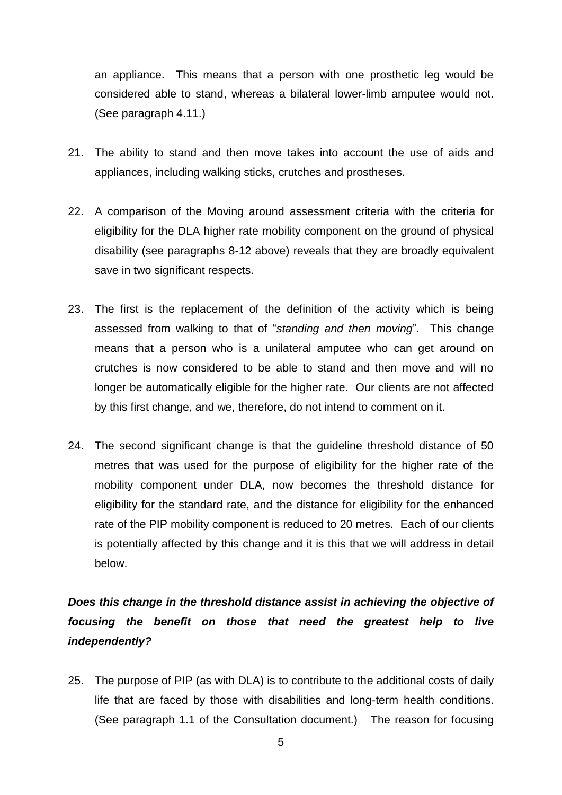an appliance. This means that a person with one prosthetic leg would be considered able to stand, whereas a bilateral lower-limb amputee would not. (See paragraph 4.11.)

- 21. The ability to stand and then move takes into account the use of aids and appliances, including walking sticks, crutches and prostheses.
- 22. A comparison of the Moving around assessment criteria with the criteria for eligibility for the DLA higher rate mobility component on the ground of physical disability (see paragraphs 8-12 above) reveals that they are broadly equivalent save in two significant respects.
- 23. The first is the replacement of the definition of the activity which is being assessed from walking to that of "*standing and then moving*". This change means that a person who is a unilateral amputee who can get around on crutches is now considered to be able to stand and then move and will no longer be automatically eligible for the higher rate. Our clients are not affected by this first change, and we, therefore, do not intend to comment on it.
- 24. The second significant change is that the guideline threshold distance of 50 metres that was used for the purpose of eligibility for the higher rate of the mobility component under DLA, now becomes the threshold distance for eligibility for the standard rate, and the distance for eligibility for the enhanced rate of the PIP mobility component is reduced to 20 metres. Each of our clients is potentially affected by this change and it is this that we will address in detail below.

## *Does this change in the threshold distance assist in achieving the objective of focusing the benefit on those that need the greatest help to live independently?*

25. The purpose of PIP (as with DLA) is to contribute to the additional costs of daily life that are faced by those with disabilities and long-term health conditions. (See paragraph 1.1 of the Consultation document.) The reason for focusing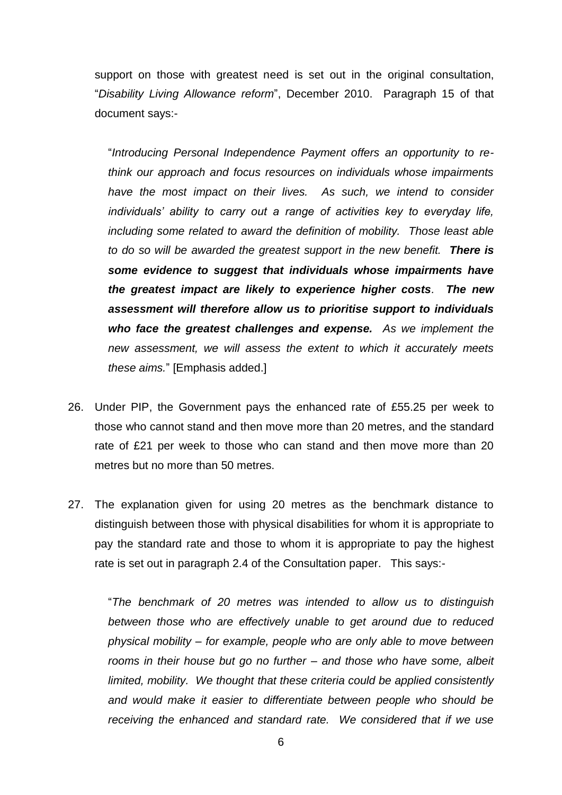support on those with greatest need is set out in the original consultation, "*Disability Living Allowance reform*", December 2010. Paragraph 15 of that document says:-

"*Introducing Personal Independence Payment offers an opportunity to rethink our approach and focus resources on individuals whose impairments*  have the most impact on their lives. As such, we intend to consider *individuals' ability to carry out a range of activities key to everyday life, including some related to award the definition of mobility. Those least able to do so will be awarded the greatest support in the new benefit. There is some evidence to suggest that individuals whose impairments have the greatest impact are likely to experience higher costs. The new assessment will therefore allow us to prioritise support to individuals who face the greatest challenges and expense. As we implement the new assessment, we will assess the extent to which it accurately meets these aims.*" [Emphasis added.]

- 26. Under PIP, the Government pays the enhanced rate of £55.25 per week to those who cannot stand and then move more than 20 metres, and the standard rate of £21 per week to those who can stand and then move more than 20 metres but no more than 50 metres.
- 27. The explanation given for using 20 metres as the benchmark distance to distinguish between those with physical disabilities for whom it is appropriate to pay the standard rate and those to whom it is appropriate to pay the highest rate is set out in paragraph 2.4 of the Consultation paper. This says:-

"*The benchmark of 20 metres was intended to allow us to distinguish between those who are effectively unable to get around due to reduced physical mobility – for example, people who are only able to move between rooms in their house but go no further – and those who have some, albeit limited, mobility. We thought that these criteria could be applied consistently and would make it easier to differentiate between people who should be receiving the enhanced and standard rate. We considered that if we use*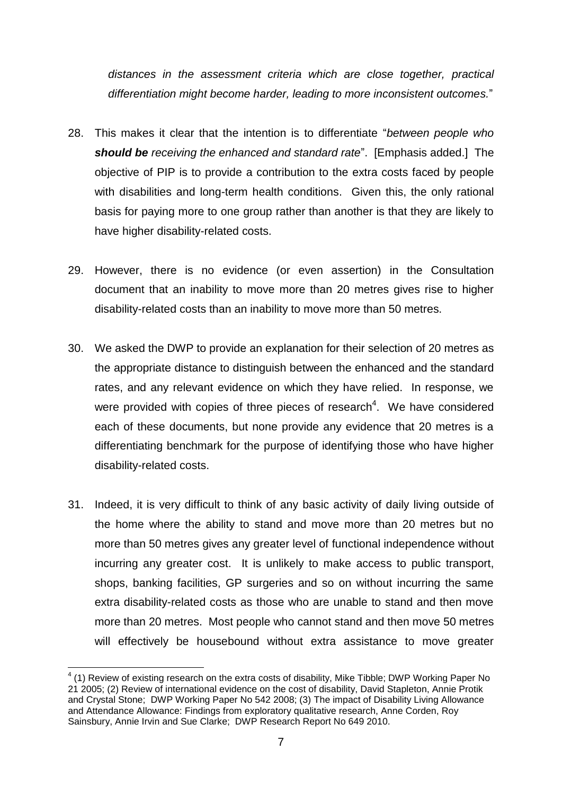*distances in the assessment criteria which are close together, practical differentiation might become harder, leading to more inconsistent outcomes.*"

- 28. This makes it clear that the intention is to differentiate "*between people who should be receiving the enhanced and standard rate*". [Emphasis added.] The objective of PIP is to provide a contribution to the extra costs faced by people with disabilities and long-term health conditions. Given this, the only rational basis for paying more to one group rather than another is that they are likely to have higher disability-related costs.
- 29. However, there is no evidence (or even assertion) in the Consultation document that an inability to move more than 20 metres gives rise to higher disability-related costs than an inability to move more than 50 metres.
- 30. We asked the DWP to provide an explanation for their selection of 20 metres as the appropriate distance to distinguish between the enhanced and the standard rates, and any relevant evidence on which they have relied. In response, we were provided with copies of three pieces of research<sup>4</sup>. We have considered each of these documents, but none provide any evidence that 20 metres is a differentiating benchmark for the purpose of identifying those who have higher disability-related costs.
- 31. Indeed, it is very difficult to think of any basic activity of daily living outside of the home where the ability to stand and move more than 20 metres but no more than 50 metres gives any greater level of functional independence without incurring any greater cost. It is unlikely to make access to public transport, shops, banking facilities, GP surgeries and so on without incurring the same extra disability-related costs as those who are unable to stand and then move more than 20 metres. Most people who cannot stand and then move 50 metres will effectively be housebound without extra assistance to move greater

1

 $4$  (1) Review of existing research on the extra costs of disability, Mike Tibble; DWP Working Paper No 21 2005; (2) Review of international evidence on the cost of disability, David Stapleton, Annie Protik and Crystal Stone; DWP Working Paper No 542 2008; (3) The impact of Disability Living Allowance and Attendance Allowance: Findings from exploratory qualitative research, Anne Corden, Roy Sainsbury, Annie Irvin and Sue Clarke; DWP Research Report No 649 2010.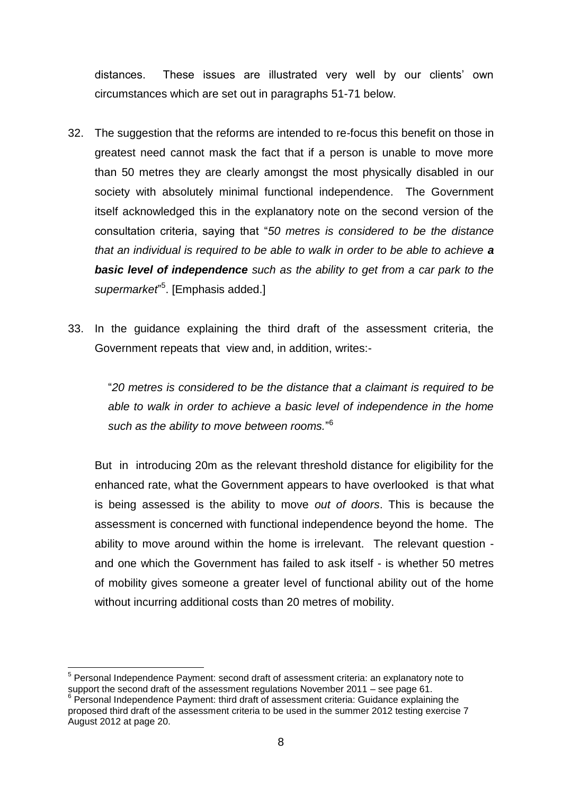distances. These issues are illustrated very well by our clients' own circumstances which are set out in paragraphs 51-71 below.

- 32. The suggestion that the reforms are intended to re-focus this benefit on those in greatest need cannot mask the fact that if a person is unable to move more than 50 metres they are clearly amongst the most physically disabled in our society with absolutely minimal functional independence. The Government itself acknowledged this in the explanatory note on the second version of the consultation criteria, saying that "*50 metres is considered to be the distance that an individual is required to be able to walk in order to be able to achieve a basic level of independence such as the ability to get from a car park to the supermarket*" 5 . [Emphasis added.]
- 33. In the guidance explaining the third draft of the assessment criteria, the Government repeats that view and, in addition, writes:-

"*20 metres is considered to be the distance that a claimant is required to be able to walk in order to achieve a basic level of independence in the home such as the ability to move between rooms.*" 6

But in introducing 20m as the relevant threshold distance for eligibility for the enhanced rate, what the Government appears to have overlooked is that what is being assessed is the ability to move *out of doors*. This is because the assessment is concerned with functional independence beyond the home. The ability to move around within the home is irrelevant. The relevant question and one which the Government has failed to ask itself - is whether 50 metres of mobility gives someone a greater level of functional ability out of the home without incurring additional costs than 20 metres of mobility.

<sup>1</sup> <sup>5</sup> Personal Independence Payment: second draft of assessment criteria: an explanatory note to support the second draft of the assessment regulations November 2011 – see page 61.

<sup>&</sup>lt;sup>6</sup> Personal Independence Payment: third draft of assessment criteria: Guidance explaining the proposed third draft of the assessment criteria to be used in the summer 2012 testing exercise 7 August 2012 at page 20.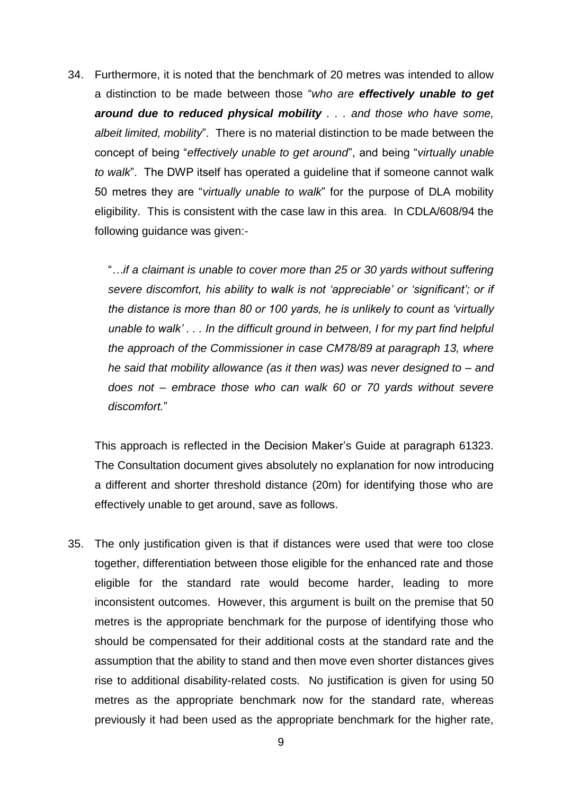34. Furthermore, it is noted that the benchmark of 20 metres was intended to allow a distinction to be made between those "*who are effectively unable to get around due to reduced physical mobility . . . and those who have some, albeit limited, mobility*". There is no material distinction to be made between the concept of being "*effectively unable to get around*", and being "*virtually unable to walk*". The DWP itself has operated a guideline that if someone cannot walk 50 metres they are "*virtually unable to walk*" for the purpose of DLA mobility eligibility. This is consistent with the case law in this area. In CDLA/608/94 the following guidance was given:-

"*…if a claimant is unable to cover more than 25 or 30 yards without suffering severe discomfort, his ability to walk is not 'appreciable' or 'significant'; or if the distance is more than 80 or 100 yards, he is unlikely to count as 'virtually unable to walk' . . . In the difficult ground in between, I for my part find helpful the approach of the Commissioner in case CM78/89 at paragraph 13, where he said that mobility allowance (as it then was) was never designed to – and does not – embrace those who can walk 60 or 70 yards without severe discomfort.*"

This approach is reflected in the Decision Maker's Guide at paragraph 61323. The Consultation document gives absolutely no explanation for now introducing a different and shorter threshold distance (20m) for identifying those who are effectively unable to get around, save as follows.

35. The only justification given is that if distances were used that were too close together, differentiation between those eligible for the enhanced rate and those eligible for the standard rate would become harder, leading to more inconsistent outcomes. However, this argument is built on the premise that 50 metres is the appropriate benchmark for the purpose of identifying those who should be compensated for their additional costs at the standard rate and the assumption that the ability to stand and then move even shorter distances gives rise to additional disability-related costs. No justification is given for using 50 metres as the appropriate benchmark now for the standard rate, whereas previously it had been used as the appropriate benchmark for the higher rate,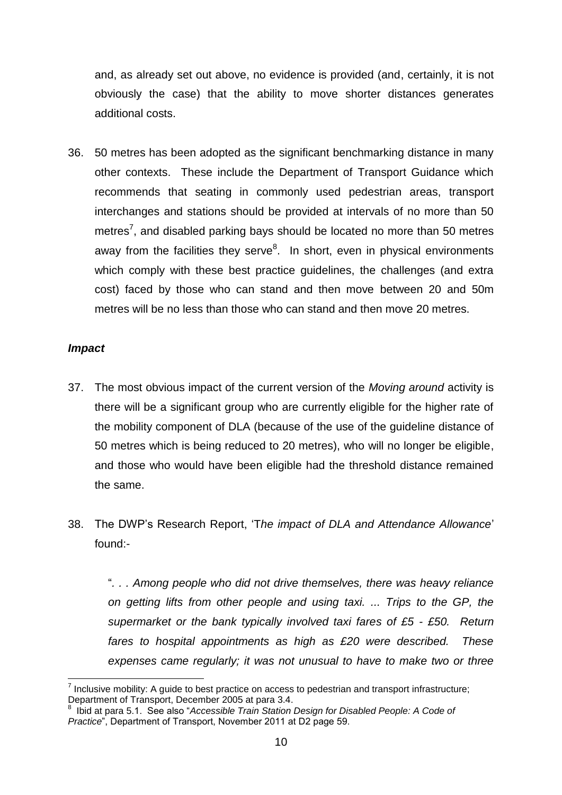and, as already set out above, no evidence is provided (and, certainly, it is not obviously the case) that the ability to move shorter distances generates additional costs.

36. 50 metres has been adopted as the significant benchmarking distance in many other contexts. These include the Department of Transport Guidance which recommends that seating in commonly used pedestrian areas, transport interchanges and stations should be provided at intervals of no more than 50 metres<sup>7</sup>, and disabled parking bays should be located no more than 50 metres away from the facilities they serve<sup>8</sup>. In short, even in physical environments which comply with these best practice guidelines, the challenges (and extra cost) faced by those who can stand and then move between 20 and 50m metres will be no less than those who can stand and then move 20 metres.

#### *Impact*

1

- 37. The most obvious impact of the current version of the *Moving around* activity is there will be a significant group who are currently eligible for the higher rate of the mobility component of DLA (because of the use of the guideline distance of 50 metres which is being reduced to 20 metres), who will no longer be eligible, and those who would have been eligible had the threshold distance remained the same.
- 38. The DWP's Research Report, 'T*he impact of DLA and Attendance Allowance*' found:-

"*. . . Among people who did not drive themselves, there was heavy reliance on getting lifts from other people and using taxi. ... Trips to the GP, the supermarket or the bank typically involved taxi fares of £5 - £50. Return fares to hospital appointments as high as £20 were described. These expenses came regularly; it was not unusual to have to make two or three* 

 $<sup>7</sup>$  Inclusive mobility: A guide to best practice on access to pedestrian and transport infrastructure;</sup> Department of Transport, December 2005 at para 3.4.

<sup>8</sup> Ibid at para 5.1. See also "*Accessible Train Station Design for Disabled People: A Code of Practice*", Department of Transport, November 2011 at D2 page 59.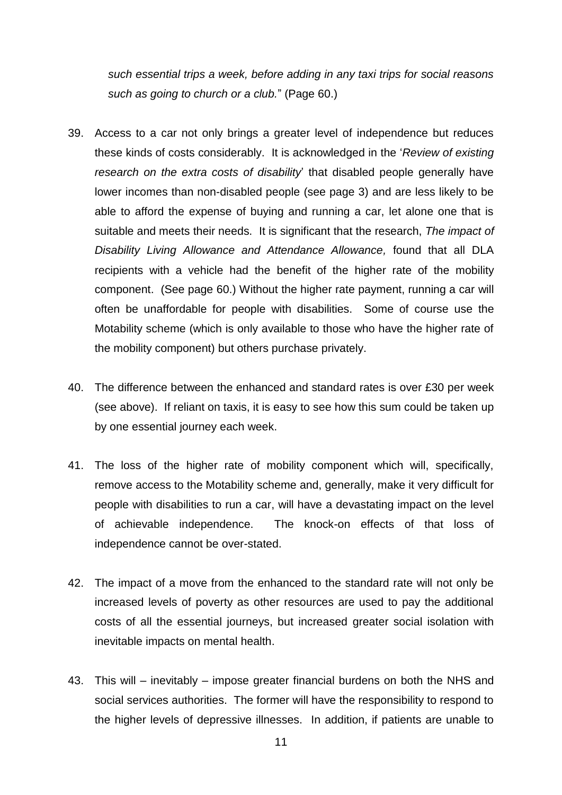*such essential trips a week, before adding in any taxi trips for social reasons such as going to church or a club.*" (Page 60.)

- 39. Access to a car not only brings a greater level of independence but reduces these kinds of costs considerably. It is acknowledged in the '*Review of existing research on the extra costs of disability*' that disabled people generally have lower incomes than non-disabled people (see page 3) and are less likely to be able to afford the expense of buying and running a car, let alone one that is suitable and meets their needs. It is significant that the research, *The impact of Disability Living Allowance and Attendance Allowance,* found that all DLA recipients with a vehicle had the benefit of the higher rate of the mobility component. (See page 60.) Without the higher rate payment, running a car will often be unaffordable for people with disabilities. Some of course use the Motability scheme (which is only available to those who have the higher rate of the mobility component) but others purchase privately.
- 40. The difference between the enhanced and standard rates is over £30 per week (see above). If reliant on taxis, it is easy to see how this sum could be taken up by one essential journey each week.
- 41. The loss of the higher rate of mobility component which will, specifically, remove access to the Motability scheme and, generally, make it very difficult for people with disabilities to run a car, will have a devastating impact on the level of achievable independence. The knock-on effects of that loss of independence cannot be over-stated.
- 42. The impact of a move from the enhanced to the standard rate will not only be increased levels of poverty as other resources are used to pay the additional costs of all the essential journeys, but increased greater social isolation with inevitable impacts on mental health.
- 43. This will inevitably impose greater financial burdens on both the NHS and social services authorities. The former will have the responsibility to respond to the higher levels of depressive illnesses. In addition, if patients are unable to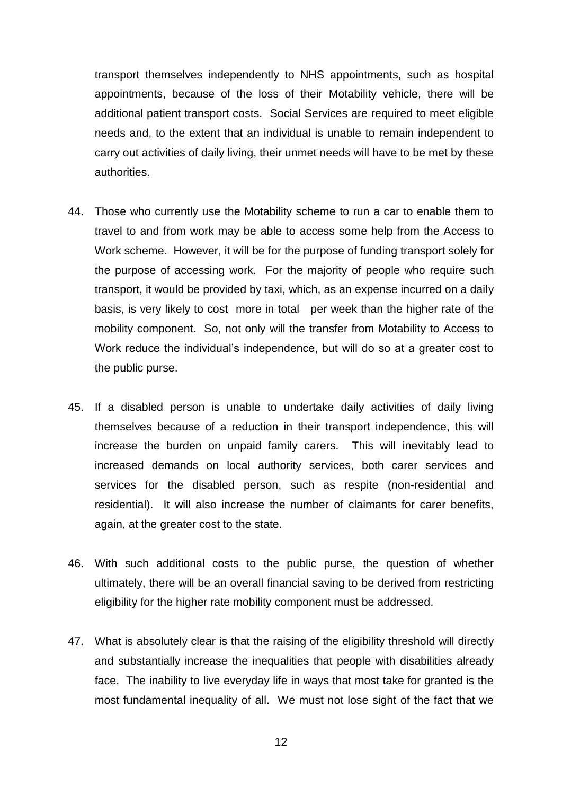transport themselves independently to NHS appointments, such as hospital appointments, because of the loss of their Motability vehicle, there will be additional patient transport costs. Social Services are required to meet eligible needs and, to the extent that an individual is unable to remain independent to carry out activities of daily living, their unmet needs will have to be met by these authorities.

- 44. Those who currently use the Motability scheme to run a car to enable them to travel to and from work may be able to access some help from the Access to Work scheme. However, it will be for the purpose of funding transport solely for the purpose of accessing work. For the majority of people who require such transport, it would be provided by taxi, which, as an expense incurred on a daily basis, is very likely to cost more in total per week than the higher rate of the mobility component. So, not only will the transfer from Motability to Access to Work reduce the individual's independence, but will do so at a greater cost to the public purse.
- 45. If a disabled person is unable to undertake daily activities of daily living themselves because of a reduction in their transport independence, this will increase the burden on unpaid family carers. This will inevitably lead to increased demands on local authority services, both carer services and services for the disabled person, such as respite (non-residential and residential). It will also increase the number of claimants for carer benefits, again, at the greater cost to the state.
- 46. With such additional costs to the public purse, the question of whether ultimately, there will be an overall financial saving to be derived from restricting eligibility for the higher rate mobility component must be addressed.
- 47. What is absolutely clear is that the raising of the eligibility threshold will directly and substantially increase the inequalities that people with disabilities already face. The inability to live everyday life in ways that most take for granted is the most fundamental inequality of all. We must not lose sight of the fact that we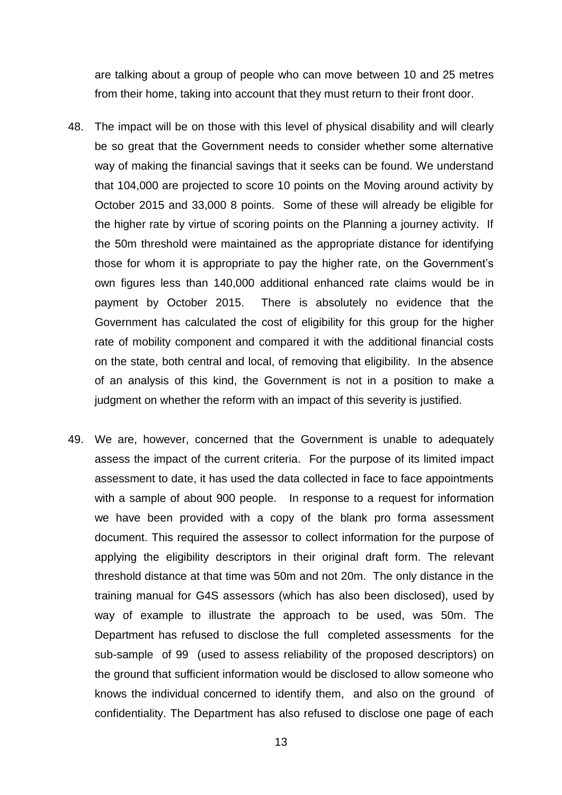are talking about a group of people who can move between 10 and 25 metres from their home, taking into account that they must return to their front door.

- 48. The impact will be on those with this level of physical disability and will clearly be so great that the Government needs to consider whether some alternative way of making the financial savings that it seeks can be found. We understand that 104,000 are projected to score 10 points on the Moving around activity by October 2015 and 33,000 8 points. Some of these will already be eligible for the higher rate by virtue of scoring points on the Planning a journey activity. If the 50m threshold were maintained as the appropriate distance for identifying those for whom it is appropriate to pay the higher rate, on the Government's own figures less than 140,000 additional enhanced rate claims would be in payment by October 2015. There is absolutely no evidence that the Government has calculated the cost of eligibility for this group for the higher rate of mobility component and compared it with the additional financial costs on the state, both central and local, of removing that eligibility. In the absence of an analysis of this kind, the Government is not in a position to make a judgment on whether the reform with an impact of this severity is justified.
- 49. We are, however, concerned that the Government is unable to adequately assess the impact of the current criteria. For the purpose of its limited impact assessment to date, it has used the data collected in face to face appointments with a sample of about 900 people. In response to a request for information we have been provided with a copy of the blank pro forma assessment document. This required the assessor to collect information for the purpose of applying the eligibility descriptors in their original draft form. The relevant threshold distance at that time was 50m and not 20m. The only distance in the training manual for G4S assessors (which has also been disclosed), used by way of example to illustrate the approach to be used, was 50m. The Department has refused to disclose the full completed assessments for the sub-sample of 99 (used to assess reliability of the proposed descriptors) on the ground that sufficient information would be disclosed to allow someone who knows the individual concerned to identify them, and also on the ground of confidentiality. The Department has also refused to disclose one page of each

13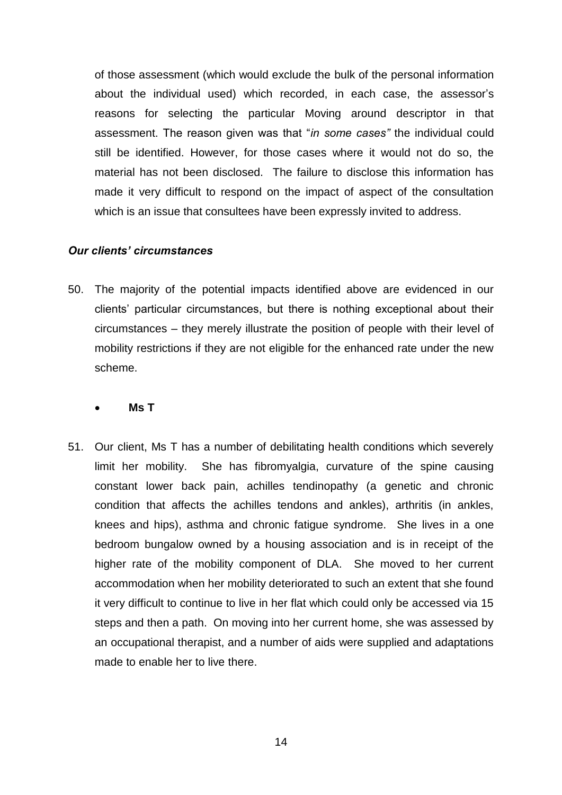of those assessment (which would exclude the bulk of the personal information about the individual used) which recorded, in each case, the assessor's reasons for selecting the particular Moving around descriptor in that assessment. The reason given was that "*in some cases"* the individual could still be identified. However, for those cases where it would not do so, the material has not been disclosed. The failure to disclose this information has made it very difficult to respond on the impact of aspect of the consultation which is an issue that consultees have been expressly invited to address.

#### *Our clients' circumstances*

50. The majority of the potential impacts identified above are evidenced in our clients' particular circumstances, but there is nothing exceptional about their circumstances – they merely illustrate the position of people with their level of mobility restrictions if they are not eligible for the enhanced rate under the new scheme.

#### **Ms T**

51. Our client, Ms T has a number of debilitating health conditions which severely limit her mobility. She has fibromyalgia, curvature of the spine causing constant lower back pain, achilles tendinopathy (a genetic and chronic condition that affects the achilles tendons and ankles), arthritis (in ankles, knees and hips), asthma and chronic fatigue syndrome. She lives in a one bedroom bungalow owned by a housing association and is in receipt of the higher rate of the mobility component of DLA. She moved to her current accommodation when her mobility deteriorated to such an extent that she found it very difficult to continue to live in her flat which could only be accessed via 15 steps and then a path. On moving into her current home, she was assessed by an occupational therapist, and a number of aids were supplied and adaptations made to enable her to live there.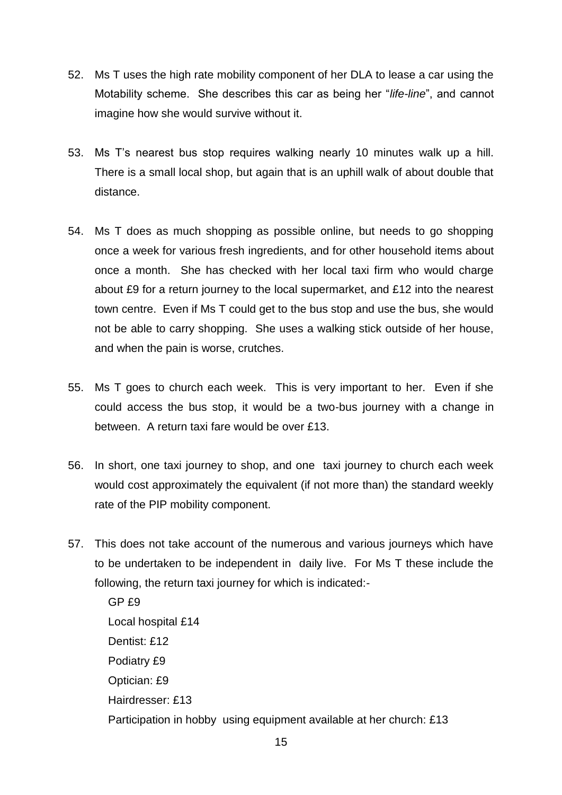- 52. Ms T uses the high rate mobility component of her DLA to lease a car using the Motability scheme. She describes this car as being her "*life-line*", and cannot imagine how she would survive without it.
- 53. Ms T's nearest bus stop requires walking nearly 10 minutes walk up a hill. There is a small local shop, but again that is an uphill walk of about double that distance.
- 54. Ms T does as much shopping as possible online, but needs to go shopping once a week for various fresh ingredients, and for other household items about once a month. She has checked with her local taxi firm who would charge about £9 for a return journey to the local supermarket, and £12 into the nearest town centre. Even if Ms T could get to the bus stop and use the bus, she would not be able to carry shopping. She uses a walking stick outside of her house, and when the pain is worse, crutches.
- 55. Ms T goes to church each week. This is very important to her. Even if she could access the bus stop, it would be a two-bus journey with a change in between. A return taxi fare would be over £13.
- 56. In short, one taxi journey to shop, and one taxi journey to church each week would cost approximately the equivalent (if not more than) the standard weekly rate of the PIP mobility component.
- 57. This does not take account of the numerous and various journeys which have to be undertaken to be independent in daily live. For Ms T these include the following, the return taxi journey for which is indicated:-

GP £9 Local hospital £14 Dentist: £12 Podiatry £9 Optician: £9 Hairdresser: £13 Participation in hobby using equipment available at her church: £13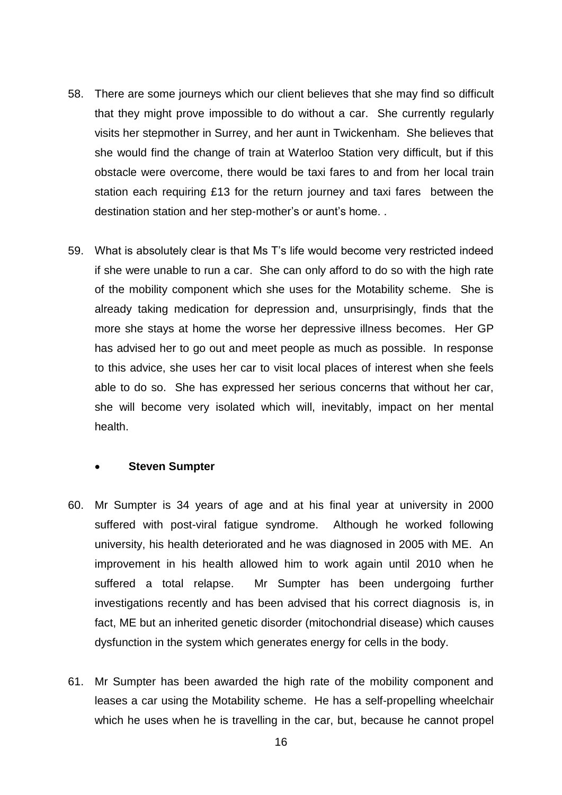- 58. There are some journeys which our client believes that she may find so difficult that they might prove impossible to do without a car. She currently regularly visits her stepmother in Surrey, and her aunt in Twickenham. She believes that she would find the change of train at Waterloo Station very difficult, but if this obstacle were overcome, there would be taxi fares to and from her local train station each requiring £13 for the return journey and taxi fares between the destination station and her step-mother's or aunt's home. .
- 59. What is absolutely clear is that Ms T's life would become very restricted indeed if she were unable to run a car. She can only afford to do so with the high rate of the mobility component which she uses for the Motability scheme. She is already taking medication for depression and, unsurprisingly, finds that the more she stays at home the worse her depressive illness becomes. Her GP has advised her to go out and meet people as much as possible. In response to this advice, she uses her car to visit local places of interest when she feels able to do so. She has expressed her serious concerns that without her car, she will become very isolated which will, inevitably, impact on her mental health.

#### **Steven Sumpter**

- 60. Mr Sumpter is 34 years of age and at his final year at university in 2000 suffered with post-viral fatigue syndrome. Although he worked following university, his health deteriorated and he was diagnosed in 2005 with ME. An improvement in his health allowed him to work again until 2010 when he suffered a total relapse. Mr Sumpter has been undergoing further investigations recently and has been advised that his correct diagnosis is, in fact, ME but an inherited genetic disorder (mitochondrial disease) which causes dysfunction in the system which generates energy for cells in the body.
- 61. Mr Sumpter has been awarded the high rate of the mobility component and leases a car using the Motability scheme. He has a self-propelling wheelchair which he uses when he is travelling in the car, but, because he cannot propel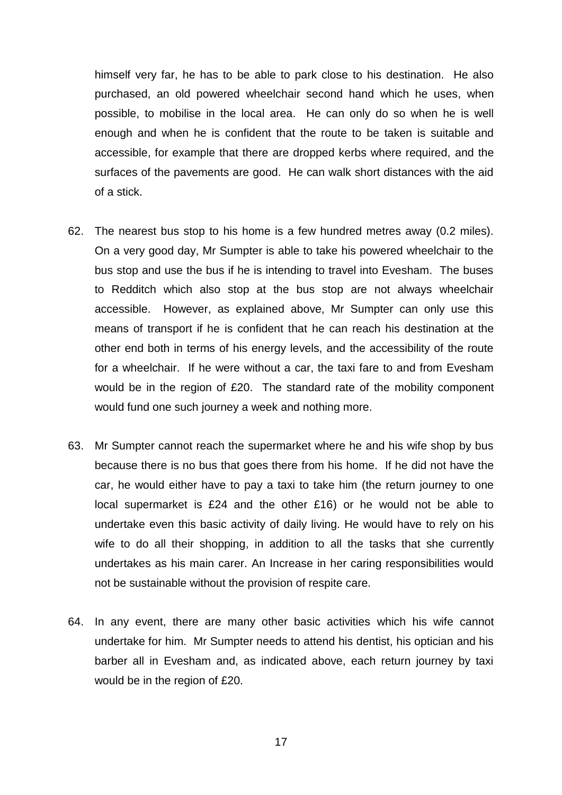himself very far, he has to be able to park close to his destination. He also purchased, an old powered wheelchair second hand which he uses, when possible, to mobilise in the local area. He can only do so when he is well enough and when he is confident that the route to be taken is suitable and accessible, for example that there are dropped kerbs where required, and the surfaces of the pavements are good. He can walk short distances with the aid of a stick.

- 62. The nearest bus stop to his home is a few hundred metres away (0.2 miles). On a very good day, Mr Sumpter is able to take his powered wheelchair to the bus stop and use the bus if he is intending to travel into Evesham. The buses to Redditch which also stop at the bus stop are not always wheelchair accessible. However, as explained above, Mr Sumpter can only use this means of transport if he is confident that he can reach his destination at the other end both in terms of his energy levels, and the accessibility of the route for a wheelchair. If he were without a car, the taxi fare to and from Evesham would be in the region of £20. The standard rate of the mobility component would fund one such journey a week and nothing more.
- 63. Mr Sumpter cannot reach the supermarket where he and his wife shop by bus because there is no bus that goes there from his home. If he did not have the car, he would either have to pay a taxi to take him (the return journey to one local supermarket is £24 and the other £16) or he would not be able to undertake even this basic activity of daily living. He would have to rely on his wife to do all their shopping, in addition to all the tasks that she currently undertakes as his main carer. An Increase in her caring responsibilities would not be sustainable without the provision of respite care.
- 64. In any event, there are many other basic activities which his wife cannot undertake for him. Mr Sumpter needs to attend his dentist, his optician and his barber all in Evesham and, as indicated above, each return journey by taxi would be in the region of £20.

17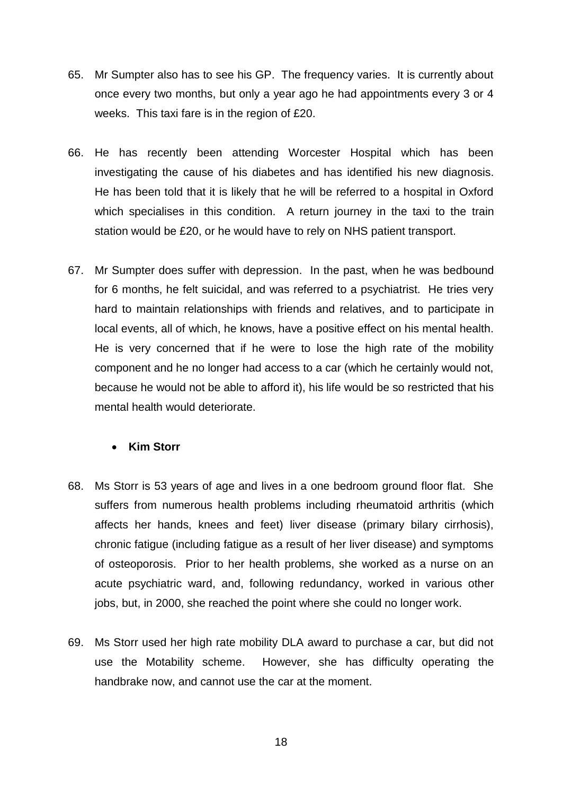- 65. Mr Sumpter also has to see his GP. The frequency varies. It is currently about once every two months, but only a year ago he had appointments every 3 or 4 weeks. This taxi fare is in the region of £20.
- 66. He has recently been attending Worcester Hospital which has been investigating the cause of his diabetes and has identified his new diagnosis. He has been told that it is likely that he will be referred to a hospital in Oxford which specialises in this condition. A return journey in the taxi to the train station would be £20, or he would have to rely on NHS patient transport.
- 67. Mr Sumpter does suffer with depression. In the past, when he was bedbound for 6 months, he felt suicidal, and was referred to a psychiatrist. He tries very hard to maintain relationships with friends and relatives, and to participate in local events, all of which, he knows, have a positive effect on his mental health. He is very concerned that if he were to lose the high rate of the mobility component and he no longer had access to a car (which he certainly would not, because he would not be able to afford it), his life would be so restricted that his mental health would deteriorate.

#### **Kim Storr**

- 68. Ms Storr is 53 years of age and lives in a one bedroom ground floor flat. She suffers from numerous health problems including rheumatoid arthritis (which affects her hands, knees and feet) liver disease (primary bilary cirrhosis), chronic fatigue (including fatigue as a result of her liver disease) and symptoms of osteoporosis. Prior to her health problems, she worked as a nurse on an acute psychiatric ward, and, following redundancy, worked in various other jobs, but, in 2000, she reached the point where she could no longer work.
- 69. Ms Storr used her high rate mobility DLA award to purchase a car, but did not use the Motability scheme. However, she has difficulty operating the handbrake now, and cannot use the car at the moment.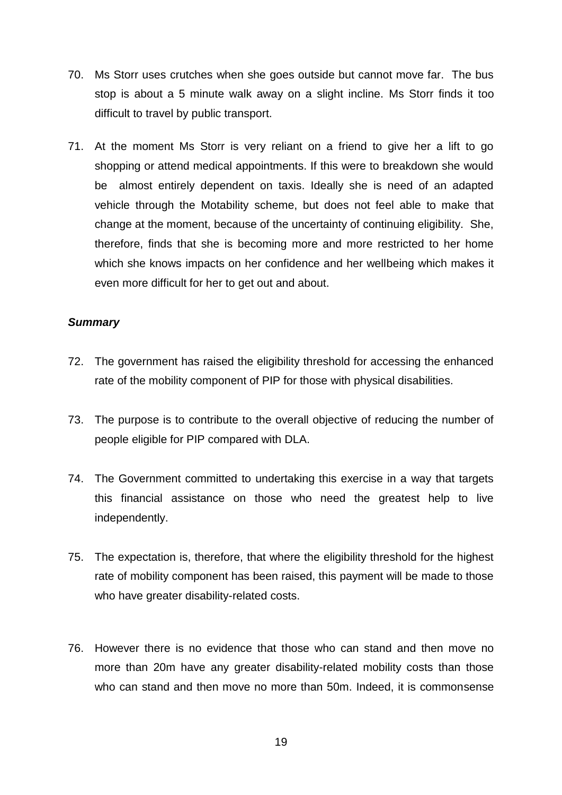- 70. Ms Storr uses crutches when she goes outside but cannot move far. The bus stop is about a 5 minute walk away on a slight incline. Ms Storr finds it too difficult to travel by public transport.
- 71. At the moment Ms Storr is very reliant on a friend to give her a lift to go shopping or attend medical appointments. If this were to breakdown she would be almost entirely dependent on taxis. Ideally she is need of an adapted vehicle through the Motability scheme, but does not feel able to make that change at the moment, because of the uncertainty of continuing eligibility. She, therefore, finds that she is becoming more and more restricted to her home which she knows impacts on her confidence and her wellbeing which makes it even more difficult for her to get out and about.

#### *Summary*

- 72. The government has raised the eligibility threshold for accessing the enhanced rate of the mobility component of PIP for those with physical disabilities.
- 73. The purpose is to contribute to the overall objective of reducing the number of people eligible for PIP compared with DLA.
- 74. The Government committed to undertaking this exercise in a way that targets this financial assistance on those who need the greatest help to live independently.
- 75. The expectation is, therefore, that where the eligibility threshold for the highest rate of mobility component has been raised, this payment will be made to those who have greater disability-related costs.
- 76. However there is no evidence that those who can stand and then move no more than 20m have any greater disability-related mobility costs than those who can stand and then move no more than 50m. Indeed, it is commonsense